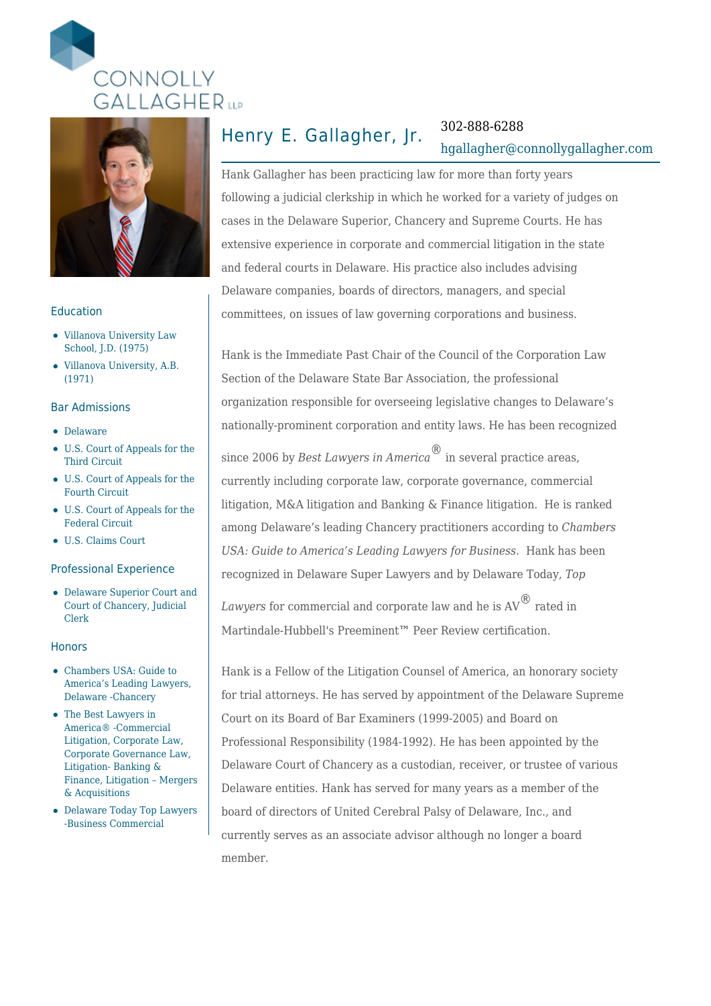



### Education

- Villanova University Law School, J.D. (1975)
- Villanova University, A.B. (1971)

### Bar Admissions

- Delaware
- U.S. Court of Appeals for the Third Circuit
- U.S. Court of Appeals for the Fourth Circuit
- U.S. Court of Appeals for the Federal Circuit
- U.S. Claims Court

### Professional Experience

Delaware Superior Court and Court of Chancery, Judicial Clerk

### **Honors**

- Chambers USA: Guide to America's Leading Lawyers, Delaware -Chancery
- The Best Lawyers in America® -Commercial Litigation, Corporate Law, Corporate Governance Law, Litigation- Banking & Finance, Litigation – Mergers & Acquisitions
- Delaware Today Top Lawyers -Business Commercial

# Henry E. Gallagher, Jr. 302-888-6288

# [hgallagher@connollygallagher.com](mailto:hgallagher@connollygallagher.com)

Hank Gallagher has been practicing law for more than forty years following a judicial clerkship in which he worked for a variety of judges on cases in the Delaware Superior, Chancery and Supreme Courts. He has extensive experience in corporate and commercial litigation in the state and federal courts in Delaware. His practice also includes advising Delaware companies, boards of directors, managers, and special committees, on issues of law governing corporations and business.

Hank is the Immediate Past Chair of the Council of the Corporation Law Section of the Delaware State Bar Association, the professional organization responsible for overseeing legislative changes to Delaware's nationally-prominent corporation and entity laws. He has been recognized

since 2006 by *Best Lawyers in America*<sup>®</sup> in several practice areas, currently including corporate law, corporate governance, commercial litigation, M&A litigation and Banking & Finance litigation. He is ranked among Delaware's leading Chancery practitioners according to *Chambers USA: Guide to America's Leading Lawyers for Business.* Hank has been recognized in Delaware Super Lawyers and by Delaware Today, *Top*

*Lawyers* for commercial and corporate law and he is AV® rated in Martindale-Hubbell's Preeminent™ Peer Review certification.

Hank is a Fellow of the Litigation Counsel of America, an honorary society for trial attorneys. He has served by appointment of the Delaware Supreme Court on its Board of Bar Examiners (1999-2005) and Board on Professional Responsibility (1984-1992). He has been appointed by the Delaware Court of Chancery as a custodian, receiver, or trustee of various Delaware entities. Hank has served for many years as a member of the board of directors of United Cerebral Palsy of Delaware, Inc., and currently serves as an associate advisor although no longer a board member.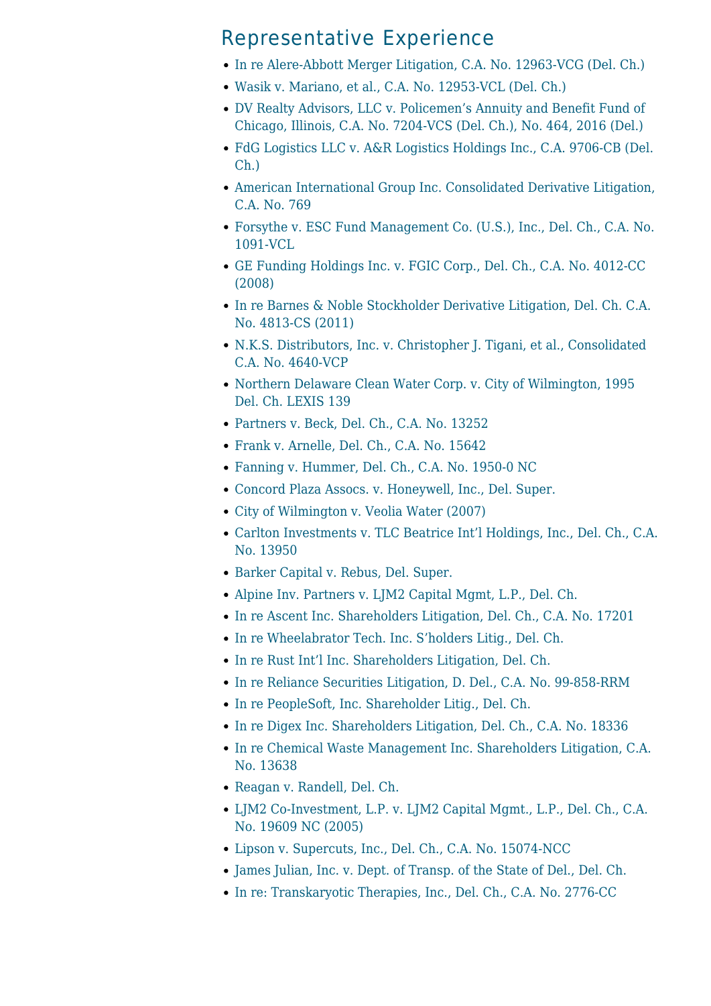### Representative Experience

- [In re Alere-Abbott Merger Litigation, C.A. No. 12963-VCG \(Del. Ch.\)](https://www.connollygallagher.com/cases/re-alere-abbott-merger-litigation-c-no-12963-vcg-del-ch/)
- [Wasik v. Mariano, et al., C.A. No. 12953-VCL \(Del. Ch.\)](https://www.connollygallagher.com/cases/wasik-v-mariano-et-al-c-no-12953-vcl-del-ch/)
- [DV Realty Advisors, LLC v. Policemen's Annuity and Benefit Fund of](https://www.connollygallagher.com/cases/dv-realty-advisors-llc-v-policemens-annuity-benefit-fund-chicago-illinois-c-no-7204-vcs-del-ch-no-464-2016-del/) [Chicago, Illinois, C.A. No. 7204-VCS \(Del. Ch.\), No. 464, 2016 \(Del.\)](https://www.connollygallagher.com/cases/dv-realty-advisors-llc-v-policemens-annuity-benefit-fund-chicago-illinois-c-no-7204-vcs-del-ch-no-464-2016-del/)
- [FdG Logistics LLC v. A&R Logistics Holdings Inc., C.A. 9706-CB \(Del.](https://www.connollygallagher.com/cases/fdg-logistics-llc-v-ar-logistics-holdings-inc-c-9706-cb-del-ch/) [Ch.\)](https://www.connollygallagher.com/cases/fdg-logistics-llc-v-ar-logistics-holdings-inc-c-9706-cb-del-ch/)
- [American International Group Inc. Consolidated Derivative Litigation,](https://www.connollygallagher.com/cases/american-international-group-inc-consolidated-derivative-litigation-c-a-no-769-2/) [C.A. No. 769](https://www.connollygallagher.com/cases/american-international-group-inc-consolidated-derivative-litigation-c-a-no-769-2/)
- [Forsythe v. ESC Fund Management Co. \(U.S.\), Inc., Del. Ch., C.A. No.](https://www.connollygallagher.com/cases/forsythe-v-esc-fund-management-co-u-s-inc-del-ch-c-a-no-1091-vcl-2/) [1091-VCL](https://www.connollygallagher.com/cases/forsythe-v-esc-fund-management-co-u-s-inc-del-ch-c-a-no-1091-vcl-2/)
- [GE Funding Holdings Inc. v. FGIC Corp., Del. Ch., C.A. No. 4012-CC](https://www.connollygallagher.com/cases/ge-funding-holdings-inc-v-fgic-corp-del-ch-c-a-no-4012-cc-2008-2/) [\(2008\)](https://www.connollygallagher.com/cases/ge-funding-holdings-inc-v-fgic-corp-del-ch-c-a-no-4012-cc-2008-2/)
- [In re Barnes & Noble Stockholder Derivative Litigation, Del. Ch. C.A.](https://www.connollygallagher.com/cases/in-re-barnes-noble-stockholder-derivative-litigation-del-ch-c-a-no-4813-cs-2011-2/) [No. 4813-CS \(2011\)](https://www.connollygallagher.com/cases/in-re-barnes-noble-stockholder-derivative-litigation-del-ch-c-a-no-4813-cs-2011-2/)
- [N.K.S. Distributors, Inc. v. Christopher J. Tigani, et al., Consolidated](https://www.connollygallagher.com/cases/n-k-s-distributors-inc-v-christopher-j-tigani-et-al-consolidated-c-a-no-4640-vcp-2/) [C.A. No. 4640-VCP](https://www.connollygallagher.com/cases/n-k-s-distributors-inc-v-christopher-j-tigani-et-al-consolidated-c-a-no-4640-vcp-2/)
- [Northern Delaware Clean Water Corp. v. City of Wilmington, 1995](https://www.connollygallagher.com/cases/northern-delaware-clean-water-corp-v-city-of-wilmington-1995-del-ch-lexis-139-2/) [Del. Ch. LEXIS 139](https://www.connollygallagher.com/cases/northern-delaware-clean-water-corp-v-city-of-wilmington-1995-del-ch-lexis-139-2/)
- [Partners v. Beck, Del. Ch., C.A. No. 13252](https://www.connollygallagher.com/cases/partners-v-beck-del-ch-c-a-no-13252/)
- [Frank v. Arnelle, Del. Ch., C.A. No. 15642](https://www.connollygallagher.com/cases/frank-v-arnelle-del-ch-c-a-no-15642/)
- [Fanning v. Hummer, Del. Ch., C.A. No. 1950-0 NC](https://www.connollygallagher.com/cases/fanning-v-hummer-del-ch-c-a-no-1950-0-nc/)
- [Concord Plaza Assocs. v. Honeywell, Inc., Del. Super.](https://www.connollygallagher.com/cases/concord-plaza-assocs-v-honeywell-inc-del-super/)
- [City of Wilmington v. Veolia Water \(2007\)](https://www.connollygallagher.com/cases/city-of-wilmington-v-veolia-water-2007/)
- [Carlton Investments v. TLC Beatrice Int'l Holdings, Inc., Del. Ch., C.A.](https://www.connollygallagher.com/cases/carlton-investments-v-tlc-beatrice-intil-holdings-inc-del-ch-c-a-no-13950/) [No. 13950](https://www.connollygallagher.com/cases/carlton-investments-v-tlc-beatrice-intil-holdings-inc-del-ch-c-a-no-13950/)
- [Barker Capital v. Rebus, Del. Super.](https://www.connollygallagher.com/cases/barker-capital-v-rebus-del-super/)
- [Alpine Inv. Partners v. LJM2 Capital Mgmt, L.P., Del. Ch.](https://www.connollygallagher.com/cases/alpine-inv-partners-v-ljm2-capital-mgmt-l-p-del-ch/)
- [In re Ascent Inc. Shareholders Litigation, Del. Ch., C.A. No. 17201](https://www.connollygallagher.com/cases/in-re-ascent-inc-shareholders-litigation-del-ch-c-a-no-17201/)
- [In re Wheelabrator Tech. Inc. S'holders Litig., Del. Ch.](https://www.connollygallagher.com/cases/in-re-wheelabrator-tech-inc-siholders-litig-del-ch/)
- [In re Rust Int'l Inc. Shareholders Litigation, Del. Ch.](https://www.connollygallagher.com/cases/in-re-rust-intil-inc-shareholders-litigation-del-ch/)
- [In re Reliance Securities Litigation, D. Del., C.A. No. 99-858-RRM](https://www.connollygallagher.com/cases/in-re-reliance-securities-litigation-d-del-c-a-no-99-858-rrm/)
- [In re PeopleSoft, Inc. Shareholder Litig., Del. Ch.](https://www.connollygallagher.com/cases/in-re-peoplesoft-inc-shareholder-litig-del-ch/)
- [In re Digex Inc. Shareholders Litigation, Del. Ch., C.A. No. 18336](https://www.connollygallagher.com/cases/in-re-digex-inc-shareholders-litigation-del-ch-c-a-no-18336/)
- [In re Chemical Waste Management Inc. Shareholders Litigation, C.A.](https://www.connollygallagher.com/cases/in-re-chemical-waste-management-inc-shareholders-litigation-c-a-no-13638/) [No. 13638](https://www.connollygallagher.com/cases/in-re-chemical-waste-management-inc-shareholders-litigation-c-a-no-13638/)
- [Reagan v. Randell, Del. Ch.](https://www.connollygallagher.com/cases/reagan-v-randell-del-ch/)
- [LJM2 Co-Investment, L.P. v. LJM2 Capital Mgmt., L.P., Del. Ch., C.A.](https://www.connollygallagher.com/cases/ljm2-co-investment-l-p-v-ljm2-capital-mgmt-l-p-del-ch-c-a-no-19609-nc-2005/) [No. 19609 NC \(2005\)](https://www.connollygallagher.com/cases/ljm2-co-investment-l-p-v-ljm2-capital-mgmt-l-p-del-ch-c-a-no-19609-nc-2005/)
- [Lipson v. Supercuts, Inc., Del. Ch., C.A. No. 15074-NCC](https://www.connollygallagher.com/cases/lipson-v-supercuts-inc-del-ch-c-a-no-15074-ncc/)
- [James Julian, Inc. v. Dept. of Transp. of the State of Del., Del. Ch.](https://www.connollygallagher.com/cases/james-julian-inc-v-dept-of-transp-of-the-state-of-del-del-ch/)
- [In re: Transkaryotic Therapies, Inc., Del. Ch., C.A. No. 2776-CC](https://www.connollygallagher.com/cases/in-re-transkaryotic-therapies-inc-del-ch-c-a-no-2776-cc/)